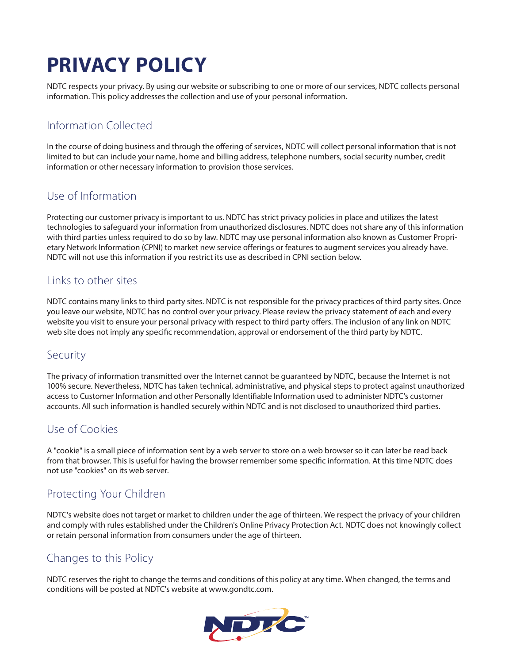# **PRIVACY POLICY**

NDTC respects your privacy. By using our website or subscribing to one or more of our services, NDTC collects personal information. This policy addresses the collection and use of your personal information.

## Information Collected

In the course of doing business and through the offering of services, NDTC will collect personal information that is not limited to but can include your name, home and billing address, telephone numbers, social security number, credit information or other necessary information to provision those services.

#### Use of Information

Protecting our customer privacy is important to us. NDTC has strict privacy policies in place and utilizes the latest technologies to safeguard your information from unauthorized disclosures. NDTC does not share any of this information with third parties unless required to do so by law. NDTC may use personal information also known as Customer Proprietary Network Information (CPNI) to market new service offerings or features to augment services you already have. NDTC will not use this information if you restrict its use as described in CPNI section below.

#### Links to other sites

NDTC contains many links to third party sites. NDTC is not responsible for the privacy practices of third party sites. Once you leave our website, NDTC has no control over your privacy. Please review the privacy statement of each and every website you visit to ensure your personal privacy with respect to third party offers. The inclusion of any link on NDTC web site does not imply any specific recommendation, approval or endorsement of the third party by NDTC.

#### **Security**

The privacy of information transmitted over the Internet cannot be guaranteed by NDTC, because the Internet is not 100% secure. Nevertheless, NDTC has taken technical, administrative, and physical steps to protect against unauthorized access to Customer Information and other Personally Identifiable Information used to administer NDTC's customer accounts. All such information is handled securely within NDTC and is not disclosed to unauthorized third parties.

#### Use of Cookies

A "cookie" is a small piece of information sent by a web server to store on a web browser so it can later be read back from that browser. This is useful for having the browser remember some specific information. At this time NDTC does not use "cookies" on its web server.

# Protecting Your Children

NDTC's website does not target or market to children under the age of thirteen. We respect the privacy of your children and comply with rules established under the Children's Online Privacy Protection Act. NDTC does not knowingly collect or retain personal information from consumers under the age of thirteen.

#### Changes to this Policy

NDTC reserves the right to change the terms and conditions of this policy at any time. When changed, the terms and conditions will be posted at NDTC's website at www.gondtc.com.